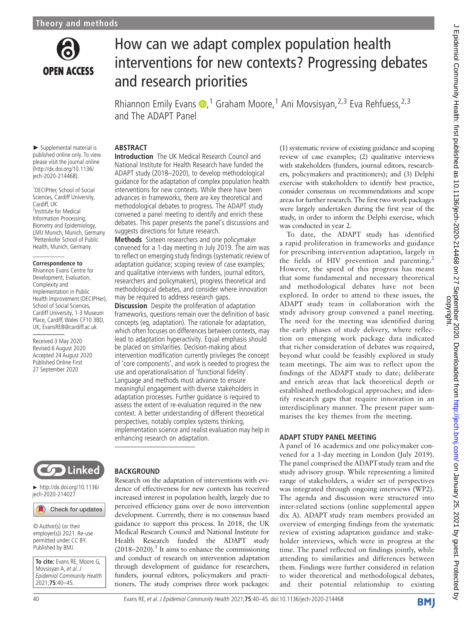

# How can we adapt complex population health interventions for new contexts? Progressing debates and research priorities

Rhiannon Emily Evans D,<sup>1</sup> Graham Moore,<sup>1</sup> Ani Movsisyan,<sup>2,3</sup> Eva Rehfuess,<sup>2,3</sup> and The ADAPT Panel

### ABSTRACT

► Supplemental material is published online only. To view please visit the journal online ([http://dx.doi.org/10.1136/](http://dx.doi.org/10.1136/jech-2020-214468) [jech-2020-214468\)](http://dx.doi.org/10.1136/jech-2020-214468).

1 DECIPHer, School of Social Sciences, Cardiff University, Cardiff, UK 2 Institute for Medical Information Processing, Biometry and Epidemiology, LMU Munich, Munich, Germany 3 Pettenkofer School of Public Health, Munich, Germany.

#### **Correspondence to**

Rhiannon Evans Centre for Development, Evaluation, Complexity and Implementation in Public Health Improvement (DECIPHer), School of Social Sciences, Cardiff University, 1-3 Museum Place, Cardiff, Wales CF10 3BD, [UK; EvansRE8@cardiff.ac](mailto:EvansRE8@cardiff.ac.uk).uk

Received 3 May 2020 Revised 6 August 2020 Accepted 24 August 2020 Published Online First 27 September 2020

# Introduction The UK Medical Research Council and

National Institute for Health Research have funded the ADAPT study (2018–2020), to develop methodological guidance for the adaptation of complex population health interventions for new contexts. While there have been advances in frameworks, there are key theoretical and methodological debates to progress. The ADAPT study convened a panel meeting to identify and enrich these debates. This paper presents the panel's discussions and suggests directions for future research.

Methods Sixteen researchers and one policymaker convened for a 1-day meeting in July 2019. The aim was to reflect on emerging study findings (systematic review of adaptation guidance; scoping review of case examples; and qualitative interviews with funders, journal editors, researchers and policymakers), progress theoretical and methodological debates, and consider where innovation may be required to address research gaps.

**Discussion** Despite the proliferation of adaptation frameworks, questions remain over the definition of basic concepts (eg, adaptation). The rationale for adaptation, which often focuses on differences between contexts, may lead to adaptation hyperactivity. Equal emphasis should be placed on similarities. Decision-making about intervention modification currently privileges the concept of 'core components', and work is needed to progress the use and operationalisation of 'functional fidelity'. Language and methods must advance to ensure meaningful engagement with diverse stakeholders in adaptation processes. Further guidance is required to assess the extent of re-evaluation required in the new context. A better understanding of different theoretical perspectives, notably complex systems thinking, implementation science and realist evaluation may help in enhancing research on adaptation.

**CO** Linked

# BACKGROUND

Research on the adaptation of interventions with evidence of effectiveness for new contexts has received increased interest in population health, largely due to perceived efficiency gains over de novo intervention development. Currently, there is no consensus based guidance to support this process. In 2018, the UK Medical Research Council and National Institute for Health Research funded the ADAPT study  $(2018–2020).$ <sup>1</sup> It aims to enhance the commissioning and conduct of research on intervention adaptation through development of guidance for researchers, funders, journal editors, policymakers and practitioners. The study comprises three work packages:

(1) systematic review of existing guidance and scoping review of case examples; (2) qualitative interviews with stakeholders (funders, journal editors, researchers, policymakers and practitioners); and (3) Delphi exercise with stakeholders to identify best practice, consider consensus on recommendations and scope areas for further research. The first two work packages were largely undertaken during the first year of the study, in order to inform the Delphi exercise, which was conducted in year 2.

To date, the ADAPT study has identified a rapid proliferation in frameworks and guidance for prescribing intervention adaptation, largely in the fields of HIV prevention and parenting.<sup>[2](#page-4-1)</sup> However, the speed of this progress has meant that some fundamental and necessary theoretical and methodological debates have not been explored. In order to attend to these issues, the ADAPT study team in collaboration with the study advisory group convened a panel meeting. The need for the meeting was identified during the early phases of study delivery, where reflection on emerging work package data indicated that richer consideration of debates was required, beyond what could be feasibly explored in study team meetings. The aim was to reflect upon the findings of the ADAPT study to date; deliberate and enrich areas that lack theoretical depth or established methodological approaches; and identify research gaps that require innovation in an interdisciplinary manner. The present paper summarises the key themes from the meeting.

## ADAPT STUDY PANEL MEETING

A panel of 16 academics and one policymaker convened for a 1-day meeting in London (July 2019). The panel comprised the ADAPT study team and the study advisory group. While representing a limited range of stakeholders, a wider set of perspectives was integrated through ongoing interviews (WP2). The agenda and discussion were structured into inter-related sections [\(online supplemental appen](https://dx.doi.org/10.1136/jech-2020-214468) [dix A](https://dx.doi.org/10.1136/jech-2020-214468)). ADAPT study team members provided an overview of emerging findings from the systematic review of existing adaptation guidance and stakeholder interviews, which were in progress at the time. The panel reflected on findings jointly, while attending to similarities and differences between them. Findings were further considered in relation to wider theoretical and methodological debates, and their potential relationship to existing

► [http://dx.doi.org/10.1136/](http://crossmark.crossref.org/dialog/?doi=10.1136/jech-2020-214468&domain=pdf)

jech-2020-214027 Check for updates

© Author(s) (or their employer(s)) 2021. Re-use permitted under CC BY. Published by BMJ.

**To cite:** Evans RE, Moore G, Movsisyan A, et al. J Epidemiol Community Health 2021;**75**:40–45.

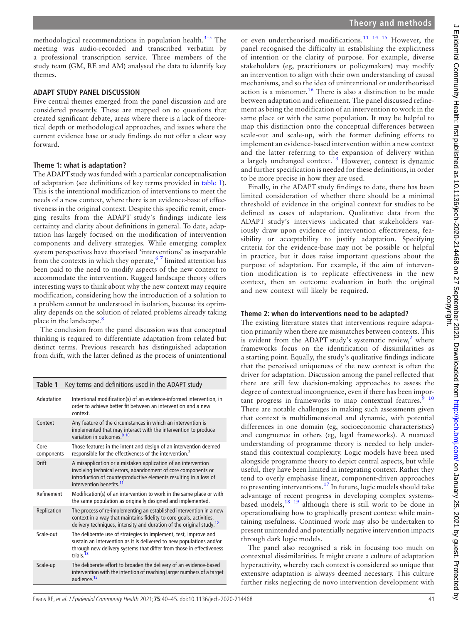methodological recommendations in population health.<sup>[3](#page-4-2)–5</sup> The meeting was audio-recorded and transcribed verbatim by a professional transcription service. Three members of the study team (GM, RE and AM) analysed the data to identify key themes.

### ADAPT STUDY PANEL DISCUSSION

Five central themes emerged from the panel discussion and are considered presently. These are mapped on to questions that created significant debate, areas where there is a lack of theoretical depth or methodological approaches, and issues where the current evidence base or study findings do not offer a clear way forward.

#### Theme 1: what is adaptation?

The ADAPTstudy was funded with a particular conceptualisation of adaptation (see definitions of key terms provided in [table 1\)](#page-1-0). This is the intentional modification of interventions to meet the needs of a new context, where there is an evidence-base of effectiveness in the original context. Despite this specific remit, emerging results from the ADAPT study's findings indicate less certainty and clarity about definitions in general. To date, adaptation has largely focused on the modification of intervention components and delivery strategies. While emerging complex system perspectives have theorised 'interventions' as inseparable from the contexts in which they operate,<sup>67</sup> limited attention has been paid to the need to modify aspects of the new context to accommodate the intervention. Rugged landscape theory offers interesting ways to think about why the new context may require modification, considering how the introduction of a solution to a problem cannot be understood in isolation, because its optimality depends on the solution of related problems already taking place in the landscape.<sup>[8](#page-4-4)</sup>

The conclusion from the panel discussion was that conceptual thinking is required to differentiate adaptation from related but distinct terms. Previous research has distinguished adaptation from drift, with the latter defined as the process of unintentional

<span id="page-1-0"></span>

| Key terms and definitions used in the ADAPT study<br>Table 1 |                                                                                                                                                                                                                                             |
|--------------------------------------------------------------|---------------------------------------------------------------------------------------------------------------------------------------------------------------------------------------------------------------------------------------------|
| Adaptation                                                   | Intentional modification(s) of an evidence-informed intervention, in<br>order to achieve better fit between an intervention and a new<br>context.                                                                                           |
| Context                                                      | Any feature of the circumstances in which an intervention is<br>implemented that may interact with the intervention to produce<br>variation in outcomes. <sup>9 10</sup>                                                                    |
| Core<br>components                                           | Those features in the intent and design of an intervention deemed<br>responsible for the effectiveness of the intervention. <sup>2</sup>                                                                                                    |
| Drift                                                        | A misapplication or a mistaken application of an intervention<br>involving technical errors, abandonment of core components or<br>introduction of counterproductive elements resulting in a loss of<br>intervention benefits. <sup>11</sup> |
| Refinement                                                   | Modification(s) of an intervention to work in the same place or with<br>the same population as originally designed and implemented.                                                                                                         |
| Replication                                                  | The process of re-implementing an established intervention in a new<br>context in a way that maintains fidelity to core goals, activities,<br>delivery techniques, intensity and duration of the original study. <sup>12</sup>              |
| Scale-out                                                    | The deliberate use of strategies to implement, test, improve and<br>sustain an intervention as it is delivered to new populations and/or<br>through new delivery systems that differ from those in effectiveness<br>trials. <sup>13</sup>   |
| Scale-up                                                     | The deliberate effort to broaden the delivery of an evidence-based<br>intervention with the intention of reaching larger numbers of a target<br>audience. <sup>13</sup>                                                                     |

or even undertheorised modifications.<sup>11</sup> <sup>14</sup> <sup>15</sup> However, the panel recognised the difficulty in establishing the explicitness of intention or the clarity of purpose. For example, diverse stakeholders (eg, practitioners or policymakers) may modify an intervention to align with their own understanding of causal mechanisms, and so the idea of unintentional or undertheorised action is a misnomer.<sup>[16](#page-4-6)</sup> There is also a distinction to be made between adaptation and refinement. The panel discussed refinement as being the modification of an intervention to work in the same place or with the same population. It may be helpful to map this distinction onto the conceptual differences between scale-out and scale-up, with the former defining efforts to implement an evidence-based intervention within a new context and the latter referring to the expansion of delivery within a largely unchanged context.<sup>[13](#page-4-7)</sup> However, context is dynamic and further specification is needed for these definitions, in order to be more precise in how they are used.

Finally, in the ADAPT study findings to date, there has been limited consideration of whether there should be a minimal threshold of evidence in the original context for studies to be defined as cases of adaptation. Qualitative data from the ADAPT study's interviews indicated that stakeholders variously draw upon evidence of intervention effectiveness, feasibility or acceptability to justify adaptation. Specifying criteria for the evidence-base may not be possible or helpful in practice, but it does raise important questions about the purpose of adaptation. For example, if the aim of intervention modification is to replicate effectiveness in the new context, then an outcome evaluation in both the original and new context will likely be required.

#### Theme 2: when do interventions need to be adapted?

The existing literature states that interventions require adaptation primarily when there are mismatches between contexts. This is evident from the ADAPT study's systematic review, $<sup>2</sup>$  $<sup>2</sup>$  $<sup>2</sup>$  where</sup> frameworks focus on the identification of dissimilarities as a starting point. Equally, the study's qualitative findings indicate that the perceived uniqueness of the new context is often the driver for adaptation. Discussion among the panel reflected that there are still few decision-making approaches to assess the degree of contextual incongruence, even if there has been important progress in frameworks to map contextual features. $9\overline{10}$ There are notable challenges in making such assessments given that context is multidimensional and dynamic, with potential differences in one domain (eg, socioeconomic characteristics) and congruence in others (eg, legal frameworks). A nuanced understanding of programme theory is needed to help understand this contextual complexity. Logic models have been used alongside programme theory to depict central aspects, but while useful, they have been limited in integrating context. Rather they tend to overly emphasise linear, component-driven approaches to presenting interventions.[17](#page-4-9) In future, logic models should take advantage of recent progress in developing complex systemsbased models,[18 19](#page-4-10) although there is still work to be done in operationalising how to graphically present context while maintaining usefulness. Continued work may also be undertaken to present unintended and potentially negative intervention impacts through dark logic models.

The panel also recognised a risk in focusing too much on contextual dissimilarities. It might create a culture of adaptation hyperactivity, whereby each context is considered so unique that extensive adaptation is always deemed necessary. This culture further risks neglecting de novo intervention development with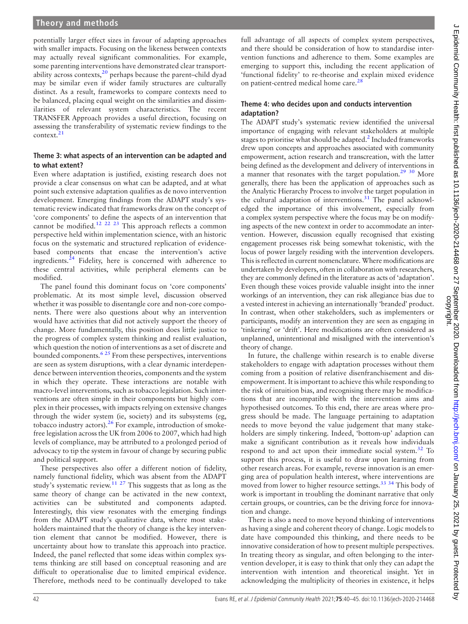potentially larger effect sizes in favour of adapting approaches with smaller impacts. Focusing on the likeness between contexts may actually reveal significant commonalities. For example, some parenting interventions have demonstrated clear transportability across contexts,[20](#page-4-12) perhaps because the parent–child dyad may be similar even if wider family structures are culturally distinct. As a result, frameworks to compare contexts need to be balanced, placing equal weight on the similarities and dissimilarities of relevant system characteristics. The recent TRANSFER Approach provides a useful direction, focusing on assessing the transferability of systematic review findings to the context.[21](#page-4-13)

## Theme 3: what aspects of an intervention can be adapted and to what extent?

Even where adaptation is justified, existing research does not provide a clear consensus on what can be adapted, and at what point such extensive adaptation qualifies as de novo intervention development. Emerging findings from the ADAPT study's systematic review indicated that frameworks draw on the concept of 'core components' to define the aspects of an intervention that cannot be modified.[12 22 23](#page-4-11) This approach reflects a common perspective held within implementation science, with an historic focus on the systematic and structured replication of evidencebased components that encase the intervention's active ingredients. $24$  Fidelity, here is concerned with adherence to these central activities, while peripheral elements can be modified.

The panel found this dominant focus on 'core components' problematic. At its most simple level, discussion observed whether it was possible to disentangle core and non-core components. There were also questions about why an intervention would have activities that did not actively support the theory of change. More fundamentally, this position does little justice to the progress of complex system thinking and realist evaluation, which question the notion of interventions as a set of discrete and bounded components.<sup> $625$ </sup> From these perspectives, interventions are seen as system disruptions, with a clear dynamic interdependence between intervention theories, components and the system in which they operate. These interactions are notable with macro-level interventions, such as tobacco legislation. Such interventions are often simple in their components but highly complex in their processes, with impacts relying on extensive changes through the wider system (ie, society) and its subsystems (eg, tobacco industry actors). $26$  For example, introduction of smokefree legislation across the UK from 2006 to 2007, which had high levels of compliance, may be attributed to a prolonged period of advocacy to tip the system in favour of change by securing public and political support.

These perspectives also offer a different notion of fidelity, namely functional fidelity, which was absent from the ADAPT study's systematic review.<sup>[11 27](#page-4-5)</sup> This suggests that as long as the same theory of change can be activated in the new context, activities can be substituted and components adapted. Interestingly, this view resonates with the emerging findings from the ADAPT study's qualitative data, where most stakeholders maintained that the theory of change is the key intervention element that cannot be modified. However, there is uncertainty about how to translate this approach into practice. Indeed, the panel reflected that some ideas within complex systems thinking are still based on conceptual reasoning and are difficult to operationalise due to limited empirical evidence. Therefore, methods need to be continually developed to take

full advantage of all aspects of complex system perspectives, and there should be consideration of how to standardise intervention functions and adherence to them. Some examples are emerging to support this, including the recent application of 'functional fidelity' to re-theorise and explain mixed evidence on patient-centred medical home care.<sup>2</sup>

### Theme 4: who decides upon and conducts intervention adaptation?

The ADAPT study's systematic review identified the universal importance of engaging with relevant stakeholders at multiple stages to prioritise what should be adapted.<sup>2</sup> Included frameworks drew upon concepts and approaches associated with community empowerment, action research and transcreation, with the latter being defined as the development and delivery of interventions in a manner that resonates with the target population.<sup>29 30</sup> More generally, there has been the application of approaches such as the Analytic Hierarchy Process to involve the target population in the cultural adaptation of interventions. $31$  The panel acknowledged the importance of this involvement, especially from a complex system perspective where the focus may be on modifying aspects of the new context in order to accommodate an intervention. However, discussion equally recognised that existing engagement processes risk being somewhat tokenistic, with the locus of power largely residing with the intervention developers. This is reflected in current nomenclature. Where modifications are undertaken by developers, often in collaboration with researchers, they are commonly defined in the literature as acts of 'adaptation'. Even though these voices provide valuable insight into the inner workings of an intervention, they can risk allegiance bias due to a vested interest in achieving an internationally 'branded' product. In contrast, when other stakeholders, such as implementers or participants, modify an intervention they are seen as engaging in 'tinkering' or 'drift'. Here modifications are often considered as unplanned, unintentional and misaligned with the intervention's theory of change.

In future, the challenge within research is to enable diverse stakeholders to engage with adaptation processes without them coming from a position of relative disenfranchisement and disempowerment. It is important to achieve this while responding to the risk of intuition bias, and recognising there may be modifications that are incompatible with the intervention aims and hypothesised outcomes. To this end, there are areas where progress should be made. The language pertaining to adaptation needs to move beyond the value judgement that many stakeholders are simply tinkering. Indeed, 'bottom-up' adaption can make a significant contribution as it reveals how individuals respond to and act upon their immediate social system.<sup>32</sup> To support this process, it is useful to draw upon learning from other research areas. For example, reverse innovation is an emerging area of population health interest, where interventions are moved from lower to higher resource settings.<sup>[33 34](#page-4-20)</sup> This body of work is important in troubling the dominant narrative that only certain groups, or countries, can be the driving force for innovation and change.

There is also a need to move beyond thinking of interventions as having a single and coherent theory of change. Logic models to date have compounded this thinking, and there needs to be innovative consideration of how to present multiple perspectives. In treating theory as singular, and often belonging to the intervention developer, it is easy to think that only they can adapt the intervention with intention and theoretical insight. Yet in acknowledging the multiplicity of theories in existence, it helps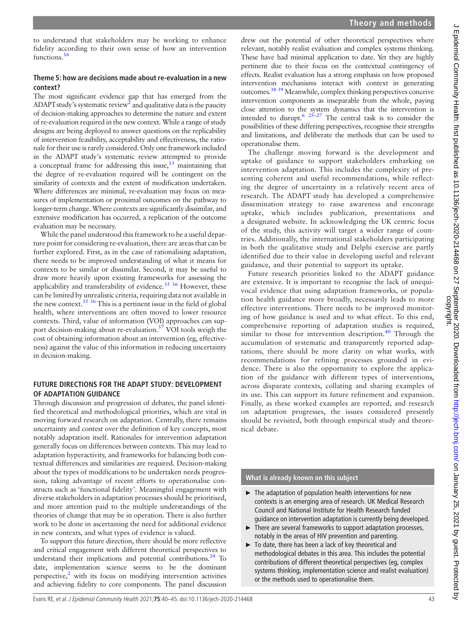to understand that stakeholders may be working to enhance fidelity according to their own sense of how an intervention functions.<sup>[16](#page-4-6)</sup>

## Theme 5: how are decisions made about re-evaluation in a new context?

The most significant evidence gap that has emerged from the ADAPT study's systematic review<sup>[2](#page-4-1)</sup> and qualitative data is the paucity of decision-making approaches to determine the nature and extent of re-evaluation required in the new context. While a range of study designs are being deployed to answer questions on the replicability of intervention feasibility, acceptability and effectiveness, the rationale for their use is rarely considered. Only one framework included in the ADAPT study's systematic review attempted to provide a conceptual frame for addressing this issue, $13$  maintaining that the degree of re-evaluation required will be contingent on the similarity of contexts and the extent of modification undertaken. Where differences are minimal, re-evaluation may focus on measures of implementation or proximal outcomes on the pathway to longer-term change. Where contexts are significantly dissimilar, and extensive modification has occurred, a replication of the outcome evaluation may be necessary.

While the panel understood this framework to be a useful departure point for considering re-evaluation, there are areas that can be further explored. First, as in the case of rationalising adaptation, there needs to be improved understanding of what it means for contexts to be similar or dissimilar. Second, it may be useful to draw more heavily upon existing frameworks for assessing the applicability and transferability of evidence.<sup>35</sup> <sup>36</sup> However, these can be limited by unrealistic criteria, requiring data not available in the new context.<sup>35 36</sup> This is a pertinent issue in the field of global health, where interventions are often moved to lower resource contexts. Third, value of information (VOI) approaches can support decision-making about re-evaluation.<sup>37</sup> VOI tools weigh the cost of obtaining information about an intervention (eg, effectiveness) against the value of this information in reducing uncertainty in decision-making.

## FUTURE DIRECTIONS FOR THE ADAPT STUDY: DEVELOPMENT OF ADAPTATION GUIDANCE

Through discussion and progression of debates, the panel identified theoretical and methodological priorities, which are vital in moving forward research on adaptation. Centrally, there remains uncertainty and contest over the definition of key concepts, most notably adaptation itself. Rationales for intervention adaptation generally focus on differences between contexts. This may lead to adaptation hyperactivity, and frameworks for balancing both contextual differences and similarities are required. Decision-making about the types of modifications to be undertaken needs progression, taking advantage of recent efforts to operationalise constructs such as 'functional fidelity'. Meaningful engagement with diverse stakeholders in adaptation processes should be prioritised, and more attention paid to the multiple understandings of the theories of change that may be in operation. There is also further work to be done in ascertaining the need for additional evidence in new contexts, and what types of evidence is valued.

To support this future direction, there should be more reflective and critical engagement with different theoretical perspectives to understand their implications and potential contributions. $^{24}$  To date, implementation science seems to be the dominant perspective, $\frac{2}{3}$  with its focus on modifying intervention activities and achieving fidelity to core components. The panel discussion

## **Theory and methods**

drew out the potential of other theoretical perspectives where relevant, notably realist evaluation and complex systems thinking. These have had minimal application to date. Yet they are highly pertinent due to their focus on the contextual contingency of effects. Realist evaluation has a strong emphasis on how proposed intervention mechanisms interact with context in generating outcomes.[38 39](#page-5-1) Meanwhile, complex thinking perspectives conceive intervention components as inseparable from the whole, paying close attention to the system dynamics that the intervention is intended to disrupt.<sup>6</sup>  $25-27$  The central task is to consider the possibilities of these differing perspectives, recognise their strengths and limitations, and deliberate the methods that can be used to operationalise them.

The challenge moving forward is the development and uptake of guidance to support stakeholders embarking on intervention adaptation. This includes the complexity of presenting coherent and useful recommendations, while reflecting the degree of uncertainty in a relatively recent area of research. The ADAPT study has developed a comprehensive dissemination strategy to raise awareness and encourage uptake, which includes publication, presentations and a designated website. In acknowledging the UK centric focus of the study, this activity will target a wider range of countries. Additionally, the international stakeholders participating in both the qualitative study and Delphi exercise are partly identified due to their value in developing useful and relevant guidance, and their potential to support its uptake.

Future research priorities linked to the ADAPT guidance are extensive. It is important to recognise the lack of unequivocal evidence that using adaptation frameworks, or population health guidance more broadly, necessarily leads to more effective interventions. There needs to be improved monitoring of how guidance is used and to what effect. To this end, comprehensive reporting of adaptation studies is required, similar to those for intervention description.<sup>[40](#page-5-2)</sup> Through the accumulation of systematic and transparently reported adaptations, there should be more clarity on what works, with recommendations for refining processes grounded in evidence. There is also the opportunity to explore the application of the guidance with different types of interventions, across disparate contexts, collating and sharing examples of its use. This can support its future refinement and expansion. Finally, as these worked examples are reported, and research on adaptation progresses, the issues considered presently should be revisited, both through empirical study and theoretical debate.

#### What is already known on this subject

- ► The adaptation of population health interventions for new contexts is an emerging area of research. UK Medical Research Council and National Institute for Health Research funded guidance on intervention adaptation is currently being developed.
- ► There are several frameworks to support adaptation processes, notably in the areas of HIV prevention and parenting.
- ► To date, there has been a lack of key theoretical and methodological debates in this area. This includes the potential contributions of different theoretical perspectives (eg, complex systems thinking, implementation science and realist evaluation) or the methods used to operationalise them.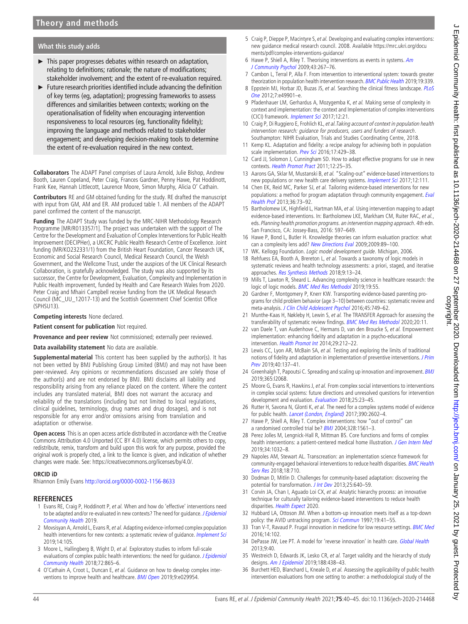#### What this study adds

- ► This paper progresses debates within research on adaptation, relating to definitions; rationale; the nature of modifications; stakeholder involvement; and the extent of re-evaluation required.
- $\blacktriangleright$  Future research priorities identified include advancing the definition of key terms (eg, adaptation); progressing frameworks to assess differences and similarities between contexts; working on the operationalisation of fidelity when encouraging intervention responsiveness to local resources (eg, functionality fidelity); improving the language and methods related to stakeholder engagement; and developing decision-making tools to determine the extent of re-evaluation required in the new context.

Collaborators The ADAPT Panel comprises of Laura Arnold, Julie Bishop, Andrew Booth, Lauren Copeland, Peter Craig, Frances Gardner, Penny Hawe, Pat Hoddinott, Frank Kee, Hannah Littlecott, Laurence Moore, Simon Murphy, Alicia O' Cathain.

Contributors RE and GM obtained funding for the study. RE drafted the manuscript with input from GM, AM and ER. AM produced table 1. All members of the ADAPT panel confirmed the content of the manuscript.

Funding The ADAPT Study was funded by the MRC-NIHR Methodology Research Programme [MR/R013357/1]. The project was undertaken with the support of The Centre for the Development and Evaluation of Complex Interventions for Public Health Improvement (DECIPHer), a UKCRC Public Health Research Centre of Excellence. Joint funding (MR/KO232331/1) from the British Heart Foundation, Cancer Research UK, Economic and Social Research Council, Medical Research Council, the Welsh Government, and the Wellcome Trust, under the auspices of the UK Clinical Research Collaboration, is gratefully acknowledged. The study was also supported by its successor, the Centre for Development, Evaluation, Complexity and Implementation in Public Health improvement, funded by Health and Care Research Wales from 2020. Peter Craig and Mhairi Campbell receive funding from the UK Medical Research Council (MC\_UU\_12017-13) and the Scottish Government Chief Scientist Office (SPHSU13).

Competing interests None declared.

Patient consent for publication Not required.

Provenance and peer review Not commissioned; externally peer reviewed.

Data availability statement No data are available.

Supplemental material This content has been supplied by the author(s). It has not been vetted by BMJ Publishing Group Limited (BMJ) and may not have been peer-reviewed. Any opinions or recommendations discussed are solely those of the author(s) and are not endorsed by BMJ. BMJ disclaims all liability and responsibility arising from any reliance placed on the content. Where the content includes any translated material, BMJ does not warrant the accuracy and reliability of the translations (including but not limited to local regulations, clinical guidelines, terminology, drug names and drug dosages), and is not responsible for any error and/or omissions arising from translation and adaptation or otherwise.

Open access This is an open access article distributed in accordance with the Creative Commons Attribution 4.0 Unported (CC BY 4.0) license, which permits others to copy, redistribute, remix, transform and build upon this work for any purpose, provided the original work is properly cited, a link to the licence is given, and indication of whether changes were made. See:<https://creativecommons.org/licenses/by/4.0/>.

#### ORCID iD

Rhiannon Emily Evans <http://orcid.org/0000-0002-1156-8633>

#### **REFERENCES**

- <span id="page-4-0"></span>1 Evans RE, Craig P, Hoddinott P, et al. When and how do 'effective' interventions need to be adapted and/or re-evaluated in new contexts? The need for guidance. [J Epidemiol](https://dx.doi.org/10.1136/jech-2018-210840) [Community Health](https://dx.doi.org/10.1136/jech-2018-210840) 2019.
- <span id="page-4-1"></span>2 Movsisyan A, Arnold L, Evans R, et al. Adapting evidence-informed complex population health interventions for new contexts: a systematic review of quidance. *[Implement Sci](https://dx.doi.org/10.1186/s13012-019-0956-5)* 2019;14:105.
- <span id="page-4-2"></span>3 Moore L, Hallingberg B, Wight D, et al. Exploratory studies to inform full-scale evaluations of complex public health interventions: the need for quidance. [J Epidemiol](https://dx.doi.org/10.1136/jech-2017-210414) [Community Health](https://dx.doi.org/10.1136/jech-2017-210414) 2018;72:865–6.
- 4 O'Cathain A, Croot L, Duncan E, et al. Guidance on how to develop complex inter-ventions to improve health and healthcare. [BMJ Open](https://dx.doi.org/10.1136/bmjopen-2019-029954) 2019;9:e029954.
- 5 Craig P, Dieppe P, Macintyre S, et al. Developing and evaluating complex interventions: new guidance medical research council. 2008. Available [https://mrc.ukri.org/docu](https://mrc.ukri.org/documents/pdf/complex-interventions-guidance/) [ments/pdf/complex-interventions-guidance/](https://mrc.ukri.org/documents/pdf/complex-interventions-guidance/)
- <span id="page-4-3"></span>6 Hawe P, Shiell A, Riley T. Theorising interventions as events in systems. [Am](https://dx.doi.org/10.1007/s10464-009-9229-9) [J Community Psychol](https://dx.doi.org/10.1007/s10464-009-9229-9) 2009;43:267–76.
- 7 Cambon L, Terral P, Alla F. From intervention to interventional system: towards greater theorization in population health intervention research. [BMC Public Health](https://dx.doi.org/10.1186/s12889-019-6663-y) 2019;19:339.
- <span id="page-4-4"></span>8 Eppstein MJ, Horbar JD, Buzas JS, et al. Searching the clinical fitness landscape. [PLoS](https://dx.doi.org/10.1371/journal.pone.0049901) [One](https://dx.doi.org/10.1371/journal.pone.0049901) 2012;7:e49901–e.
- <span id="page-4-8"></span>9 Pfadenhauer LM, Gerhardus A, Mozygemba K, et al. Making sense of complexity in context and implementation: the context and Implementation of complex interventions (CICI) framework. [Implement Sci](https://dx.doi.org/10.1186/s13012-017-0552-5) 2017;12:21.
- 10 Craig P, Di Ruggiero E, Frohlich KL, et al. Taking account of context in population health intervention research: guidance for producers, users and funders of research. Southampton: NIHR Evaluation, Trials and Studies Coordinating Centre, 2018.
- <span id="page-4-5"></span>11 Kemp KL. Adaptation and fidelity: a recipe analogy for achieving both in population scale implementation. [Prev Sci](https://dx.doi.org/10.1007/s11121-016-0642-7) 2016;17:429–38.
- <span id="page-4-11"></span>12 Card JJ, Solomon J, Cunningham SD. How to adapt effective programs for use in new contexts. [Health Promot Pract](https://dx.doi.org/10.1177/1524839909348592) 2011;12:25–35.
- <span id="page-4-7"></span>13 Aarons GA, Sklar M, Mustanski B, et al. "Scaling-out" evidence-based interventions to new populations or new health care delivery systems. [Implement Sci](https://dx.doi.org/10.1186/s13012-017-0640-6) 2017;12:111.
- 14 Chen EK, Reid MC, Parker SJ, et al. Tailoring evidence-based interventions for new populations: a method for program adaptation through community engagement. [Eval](https://dx.doi.org/10.1177/0163278712442536) [Health Prof](https://dx.doi.org/10.1177/0163278712442536) 2013;36:73–92.
- 15 Bartholomew LK, Highfield L, Hartman MA, et al. Using intervention mapping to adapt evidence-based interventions. In: Bartholomew LKE, Markham CM, Ruiter RAC, et al., eds. Planning health promotion programs. an intervention mapping approach. 4th edn. San Francisco, CA: Jossey-Bass, 2016: 597–649.
- <span id="page-4-6"></span>16 Hawe P, Bond L, Butler H. Knowledge theories can inform evaluation practice: what can a complexity lens add? [New Directions Eval](https://dx.doi.org/10.1002/ev.316) 2009;2009:89-100.
- <span id="page-4-9"></span>17 WK. Kellogg Foundation. Logic model development guide. Michigan, 2006.
- <span id="page-4-10"></span>18 Rehfuess EA, Booth A, Brereton L, et al. Towards a taxonomy of logic models in systematic reviews and health technology assessments: a priori, staged, and iterative approaches. [Res Synthesis Methods](https://dx.doi.org/10.1002/jrsm.1254) 2018;9:13-24.
- 19 Mills T, Lawton R, Sheard L. Advancing complexity science in healthcare research: the logic of logic models. **[BMC Med Res Methodol](https://dx.doi.org/10.1186/s12874-019-0701-4)** 2019;19:55
- <span id="page-4-12"></span>20 Gardner F, Montgomery P, Knerr KW. Transporting evidence-based parenting programs for child problem behavior (age 3–10) between countries: systematic review and meta-analysis. [J Clin Child Adolescent Psychol](https://dx.doi.org/10.1080/15374416.2015.1015134) 2016;45:749-62.
- <span id="page-4-13"></span>21 Munthe-Kaas H, Nøkleby H, Lewin S, et al. The TRANSFER Approach for assessing the transferability of systematic review findings. [BMC Med Res Methodol](https://dx.doi.org/10.1186/s12874-019-0834-5) 2020;20:11.
- 22 van Daele T, van Audenhove C, Hermans D, van den Broucke S, et al. Empowerment implementation: enhancing fidelity and adaptation in a psycho-educational intervention. [Health Promot Int](https://dx.doi.org/10.1093/heapro/das070) 2014;29:212–22.
- 23 Lewis CC, Lyon AR, McBain SA, et al. Testing and exploring the limits of traditional notions of fidelity and adaptation in implementation of preventive interventions. [J Prim](https://dx.doi.org/10.1007/s10935-019-00539-2) [Prev](https://dx.doi.org/10.1007/s10935-019-00539-2) 2019;40:137–41.
- <span id="page-4-14"></span>24 Greenhalgh T, Papoutsi C. Spreading and scaling up innovation and improvement. [BMJ](https://dx.doi.org/10.1136/bmj.l2068) 2019;365:l2068.
- 25 Moore G, Evans R, Hawkins J, et al. From complex social interventions to interventions in complex social systems: future directions and unresolved questions for intervention development and evaluation. [Evaluation](https://dx.doi.org/10.1177/1356389018803219) 2018;25:23–45.
- <span id="page-4-15"></span>26 Rutter H, Savona N, Glonti K, et al. The need for a complex systems model of evidence for public health. [Lancet \(London, England\)](https://dx.doi.org/10.1016/S0140-6736(17)31267-9) 2017;390:2602–4.
- 27 Hawe P, Shiell A, Riley T. Complex interventions: how "out of control" can a randomised controlled trial be? **[BMJ](https://dx.doi.org/10.1136/bmj.328.7455.1561)** 2004;328:1561-3.
- <span id="page-4-16"></span>28 Perez Jolles M, Lengnick-Hall R, Mittman BS. Core functions and forms of complex health interventions: a patient-centered medical home illustration. [J Gen Intern Med](https://dx.doi.org/10.1007/s11606-018-4818-7) 2019;34:1032–8.
- <span id="page-4-17"></span>29 Napoles AM, Stewart AL. Transcreation: an implementation science framework for community-engaged behavioral interventions to reduce health disparities. [BMC Health](https://dx.doi.org/10.1186/s12913-018-3521-z) [Serv Res](https://dx.doi.org/10.1186/s12913-018-3521-z) 2018;18:710.
- 30 Dodman D, Mitlin D. Challenges for community-based adaptation: discovering the potential for transformation. [J Int Dev](https://dx.doi.org/10.1002/jid.1772) 2013;25:640-59.
- <span id="page-4-18"></span>31 Corvin JA, Chan I, Aguado Loi CX, et al. Analytic hierarchy process: an innovative technique for culturally tailoring evidence-based interventions to reduce health disparities. [Health Expect](https://dx.doi.org/https://doi.org/10.1111/hex.13022) 202[0.](https://doi.org/https://doi.org/10.1111/hex.13022)
- <span id="page-4-19"></span>32 Hubbard LA, Ottoson JM. When a bottom-up innovation meets itself as a top-down policy: the AVID untracking program. [Sci Commun](https://dx.doi.org/10.1177/1075547097019001003) 1997;19:41-55.
- <span id="page-4-20"></span>33 Tran V-T, Ravaud P. Frugal innovation in medicine for low resource settings. [BMC Med](https://dx.doi.org/10.1186/s12916-016-0651-1) 2016;14:102.
- 34 DePasse JW, Lee PT. A model for 'reverse innovation' in health care. [Global Health](https://dx.doi.org/10.1186/1744-8603-9-40) 2013;9:40.
- <span id="page-4-21"></span>35 Westreich D, Edwards JK, Lesko CR, et al. Target validity and the hierarchy of study designs. [Am J Epidemiol](https://dx.doi.org/10.1093/aje/kwy228) 2019;188:438–43.
- 36 Burchett HED, Blanchard L, Kneale D, et al. Assessing the applicability of public health intervention evaluations from one setting to another: a methodological study of the